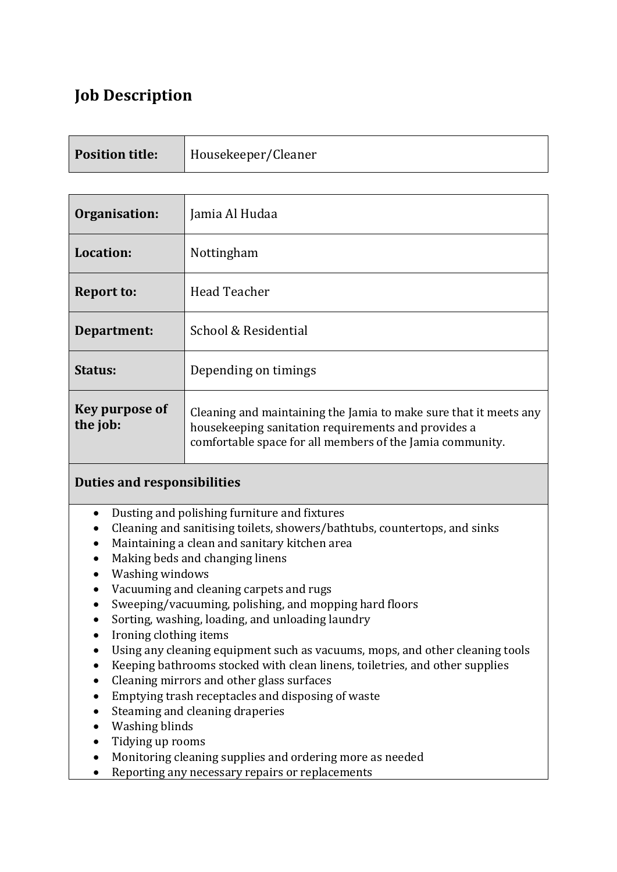# **Job Description**

| <b>Position title:</b> | Housekeeper/Cleaner |
|------------------------|---------------------|
|------------------------|---------------------|

| Organisation:              | Jamia Al Hudaa                                                                                                                                                                        |
|----------------------------|---------------------------------------------------------------------------------------------------------------------------------------------------------------------------------------|
| Location:                  | <b>Nottingham</b>                                                                                                                                                                     |
| <b>Report to:</b>          | Head Teacher                                                                                                                                                                          |
| Department:                | School & Residential                                                                                                                                                                  |
| Status:                    | Depending on timings                                                                                                                                                                  |
| Key purpose of<br>the job: | Cleaning and maintaining the Jamia to make sure that it meets any<br>housekeeping sanitation requirements and provides a<br>comfortable space for all members of the Jamia community. |

## **Duties and responsibilities**

- Dusting and polishing furniture and fixtures
- Cleaning and sanitising toilets, showers/bathtubs, countertops, and sinks
- Maintaining a clean and sanitary kitchen area
- Making beds and changing linens
- Washing windows
- Vacuuming and cleaning carpets and rugs
- Sweeping/vacuuming, polishing, and mopping hard floors
- Sorting, washing, loading, and unloading laundry
- Ironing clothing items
- Using any cleaning equipment such as vacuums, mops, and other cleaning tools
- Keeping bathrooms stocked with clean linens, toiletries, and other supplies
- Cleaning mirrors and other glass surfaces
- Emptying trash receptacles and disposing of waste
- Steaming and cleaning draperies
- Washing blinds
- Tidying up rooms
- Monitoring cleaning supplies and ordering more as needed
- Reporting any necessary repairs or replacements